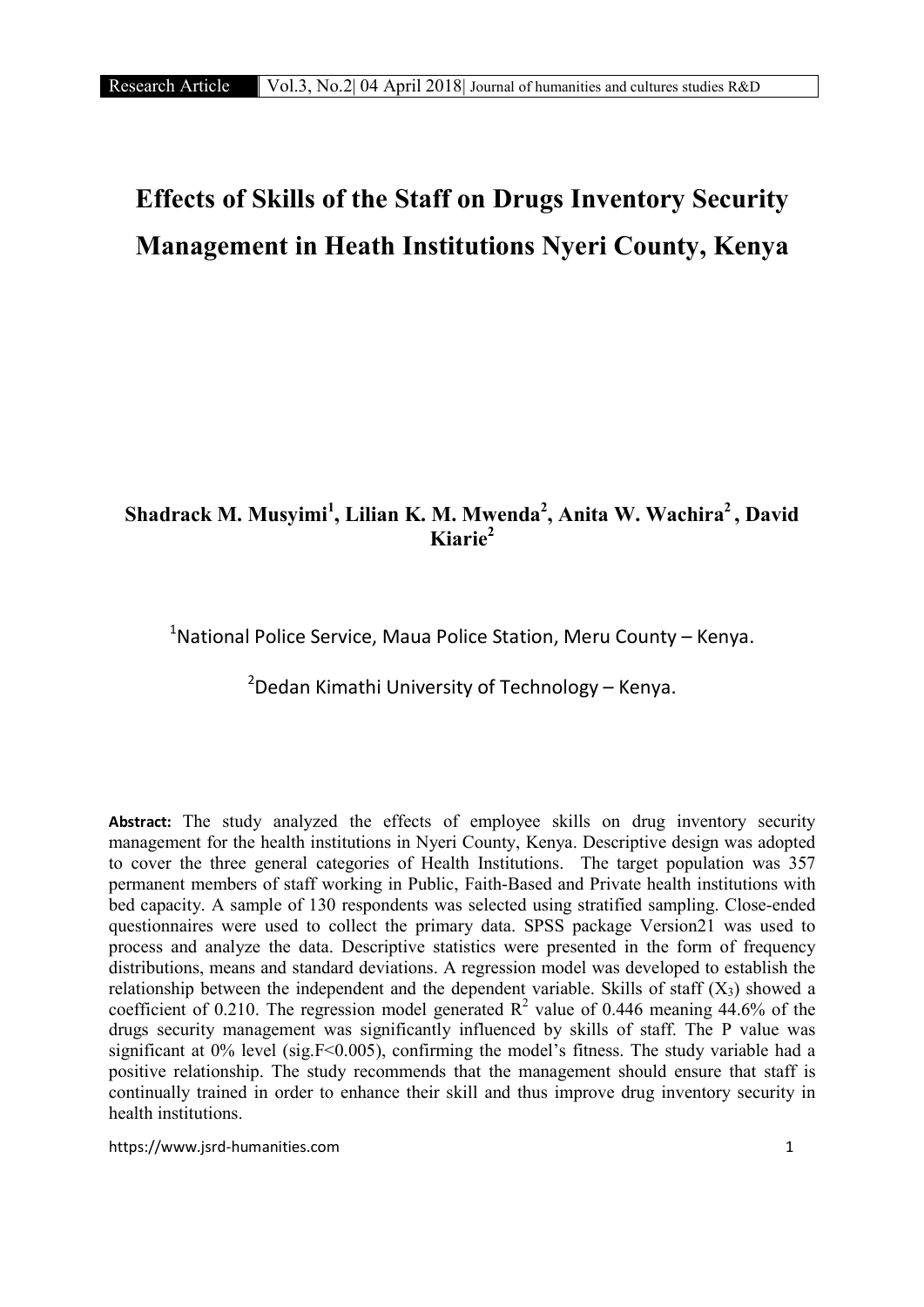# Effects of Skills of the Staff on Drugs Inventory Security Management in Heath Institutions Nyeri County, Kenya

# Shadrack M. Musyimi<sup>1</sup>, Lilian K. M. Mwenda<sup>2</sup>, Anita W. Wachira<sup>2</sup>, David Kiarie2

<sup>1</sup>National Police Service, Maua Police Station, Meru County – Kenya.

<sup>2</sup>Dedan Kimathi University of Technology – Kenya.

Abstract: The study analyzed the effects of employee skills on drug inventory security management for the health institutions in Nyeri County, Kenya. Descriptive design was adopted to cover the three general categories of Health Institutions. The target population was 357 permanent members of staff working in Public, Faith-Based and Private health institutions with bed capacity. A sample of 130 respondents was selected using stratified sampling. Close-ended questionnaires were used to collect the primary data. SPSS package Version21 was used to process and analyze the data. Descriptive statistics were presented in the form of frequency distributions, means and standard deviations. A regression model was developed to establish the relationship between the independent and the dependent variable. Skills of staff  $(X_3)$  showed a coefficient of 0.210. The regression model generated  $\mathbb{R}^2$  value of 0.446 meaning 44.6% of the drugs security management was significantly influenced by skills of staff. The P value was significant at 0% level (sig.F<0.005), confirming the model's fitness. The study variable had a positive relationship. The study recommends that the management should ensure that staff is continually trained in order to enhance their skill and thus improve drug inventory security in health institutions.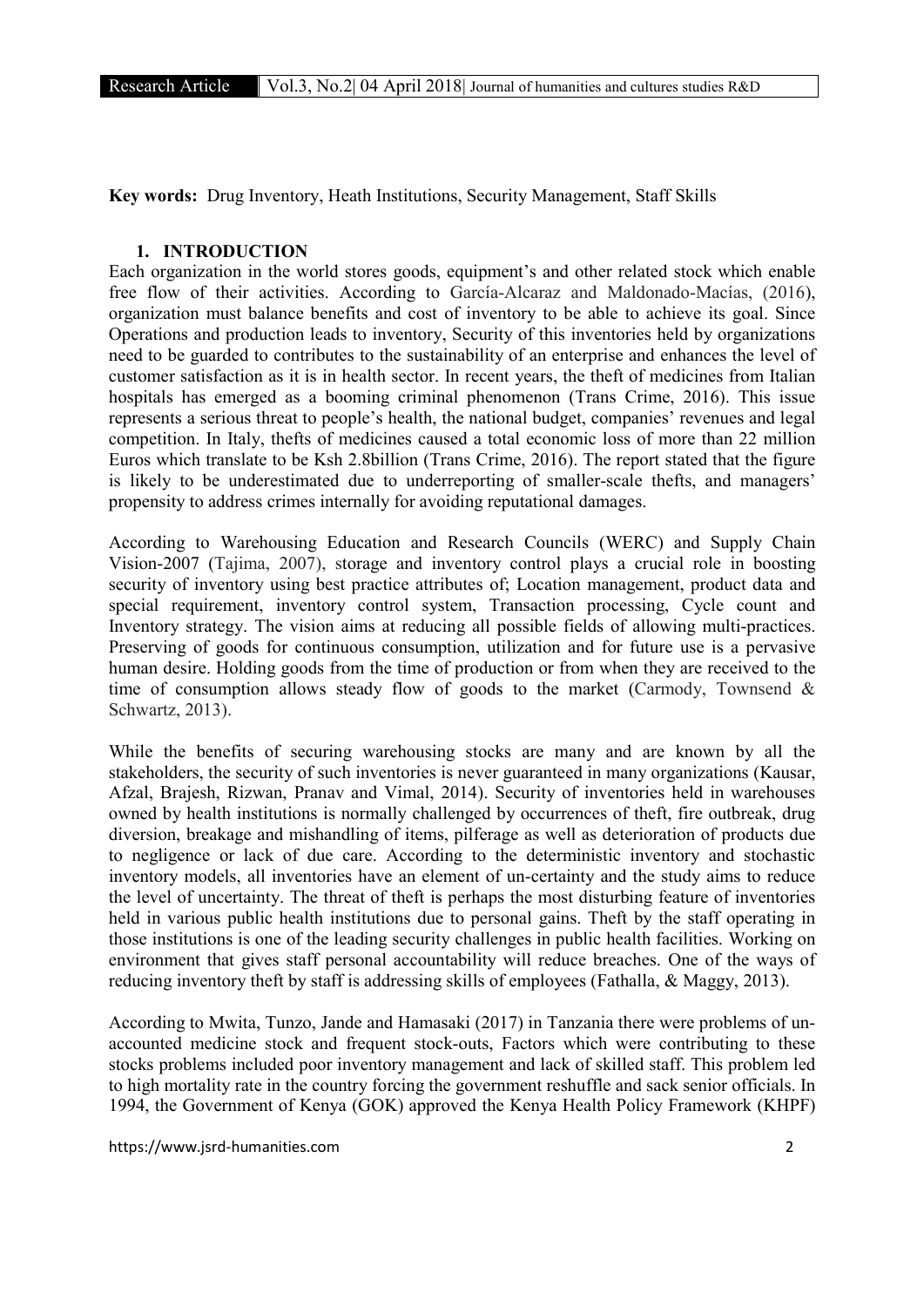Key words: Drug Inventory, Heath Institutions, Security Management, Staff Skills

# 1. INTRODUCTION

Each organization in the world stores goods, equipment's and other related stock which enable free flow of their activities. According to García-Alcaraz and Maldonado-Macías, (2016), organization must balance benefits and cost of inventory to be able to achieve its goal. Since Operations and production leads to inventory, Security of this inventories held by organizations need to be guarded to contributes to the sustainability of an enterprise and enhances the level of customer satisfaction as it is in health sector. In recent years, the theft of medicines from Italian hospitals has emerged as a booming criminal phenomenon (Trans Crime, 2016). This issue represents a serious threat to people's health, the national budget, companies' revenues and legal competition. In Italy, thefts of medicines caused a total economic loss of more than 22 million Euros which translate to be Ksh 2.8billion (Trans Crime, 2016). The report stated that the figure is likely to be underestimated due to underreporting of smaller-scale thefts, and managers' propensity to address crimes internally for avoiding reputational damages.

According to Warehousing Education and Research Councils (WERC) and Supply Chain Vision-2007 (Tajima, 2007), storage and inventory control plays a crucial role in boosting security of inventory using best practice attributes of; Location management, product data and special requirement, inventory control system, Transaction processing, Cycle count and Inventory strategy. The vision aims at reducing all possible fields of allowing multi-practices. Preserving of goods for continuous consumption, utilization and for future use is a pervasive human desire. Holding goods from the time of production or from when they are received to the time of consumption allows steady flow of goods to the market (Carmody, Townsend & Schwartz, 2013).

While the benefits of securing warehousing stocks are many and are known by all the stakeholders, the security of such inventories is never guaranteed in many organizations (Kausar, Afzal, Brajesh, Rizwan, Pranav and Vimal, 2014). Security of inventories held in warehouses owned by health institutions is normally challenged by occurrences of theft, fire outbreak, drug diversion, breakage and mishandling of items, pilferage as well as deterioration of products due to negligence or lack of due care. According to the deterministic inventory and stochastic inventory models, all inventories have an element of un-certainty and the study aims to reduce the level of uncertainty. The threat of theft is perhaps the most disturbing feature of inventories held in various public health institutions due to personal gains. Theft by the staff operating in those institutions is one of the leading security challenges in public health facilities. Working on environment that gives staff personal accountability will reduce breaches. One of the ways of reducing inventory theft by staff is addressing skills of employees (Fathalla, & Maggy, 2013).

According to Mwita, Tunzo, Jande and Hamasaki (2017) in Tanzania there were problems of unaccounted medicine stock and frequent stock-outs, Factors which were contributing to these stocks problems included poor inventory management and lack of skilled staff. This problem led to high mortality rate in the country forcing the government reshuffle and sack senior officials. In 1994, the Government of Kenya (GOK) approved the Kenya Health Policy Framework (KHPF)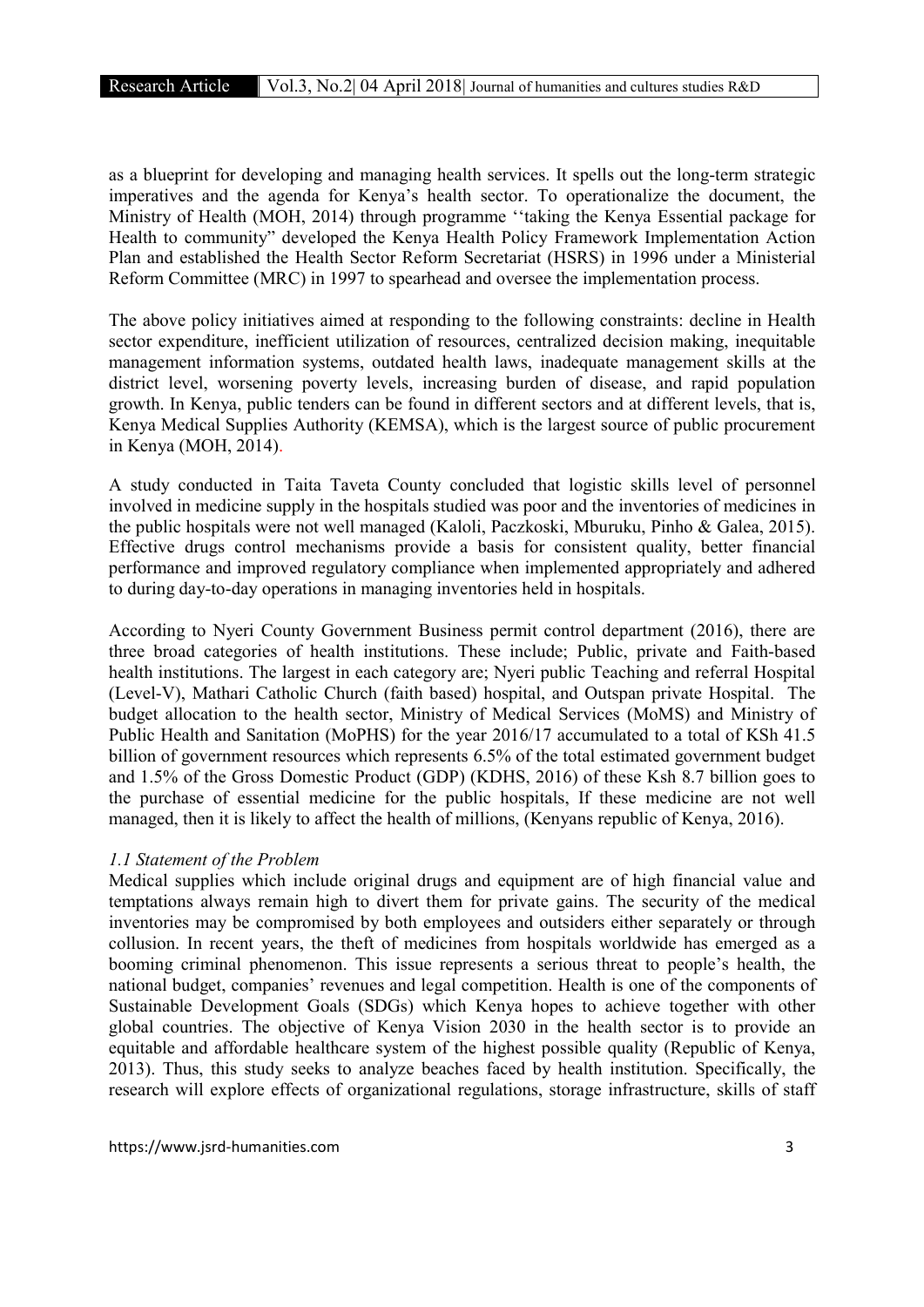as a blueprint for developing and managing health services. It spells out the long-term strategic imperatives and the agenda for Kenya's health sector. To operationalize the document, the Ministry of Health (MOH, 2014) through programme ''taking the Kenya Essential package for Health to community" developed the Kenya Health Policy Framework Implementation Action Plan and established the Health Sector Reform Secretariat (HSRS) in 1996 under a Ministerial Reform Committee (MRC) in 1997 to spearhead and oversee the implementation process.

The above policy initiatives aimed at responding to the following constraints: decline in Health sector expenditure, inefficient utilization of resources, centralized decision making, inequitable management information systems, outdated health laws, inadequate management skills at the district level, worsening poverty levels, increasing burden of disease, and rapid population growth. In Kenya, public tenders can be found in different sectors and at different levels, that is, Kenya Medical Supplies Authority (KEMSA), which is the largest source of public procurement in Kenya (MOH, 2014).

A study conducted in Taita Taveta County concluded that logistic skills level of personnel involved in medicine supply in the hospitals studied was poor and the inventories of medicines in the public hospitals were not well managed (Kaloli, Paczkoski, Mburuku, Pinho & Galea, 2015). Effective drugs control mechanisms provide a basis for consistent quality, better financial performance and improved regulatory compliance when implemented appropriately and adhered to during day-to-day operations in managing inventories held in hospitals.

According to Nyeri County Government Business permit control department (2016), there are three broad categories of health institutions. These include; Public, private and Faith-based health institutions. The largest in each category are; Nyeri public Teaching and referral Hospital (Level-V), Mathari Catholic Church (faith based) hospital, and Outspan private Hospital. The budget allocation to the health sector, Ministry of Medical Services (MoMS) and Ministry of Public Health and Sanitation (MoPHS) for the year 2016/17 accumulated to a total of KSh 41.5 billion of government resources which represents 6.5% of the total estimated government budget and 1.5% of the Gross Domestic Product (GDP) (KDHS, 2016) of these Ksh 8.7 billion goes to the purchase of essential medicine for the public hospitals, If these medicine are not well managed, then it is likely to affect the health of millions, (Kenyans republic of Kenya, 2016).

## *1.1 Statement of the Problem*

Medical supplies which include original drugs and equipment are of high financial value and temptations always remain high to divert them for private gains. The security of the medical inventories may be compromised by both employees and outsiders either separately or through collusion. In recent years, the theft of medicines from hospitals worldwide has emerged as a booming criminal phenomenon. This issue represents a serious threat to people's health, the national budget, companies' revenues and legal competition. Health is one of the components of Sustainable Development Goals (SDGs) which Kenya hopes to achieve together with other global countries. The objective of Kenya Vision 2030 in the health sector is to provide an equitable and affordable healthcare system of the highest possible quality (Republic of Kenya, 2013). Thus, this study seeks to analyze beaches faced by health institution. Specifically, the research will explore effects of organizational regulations, storage infrastructure, skills of staff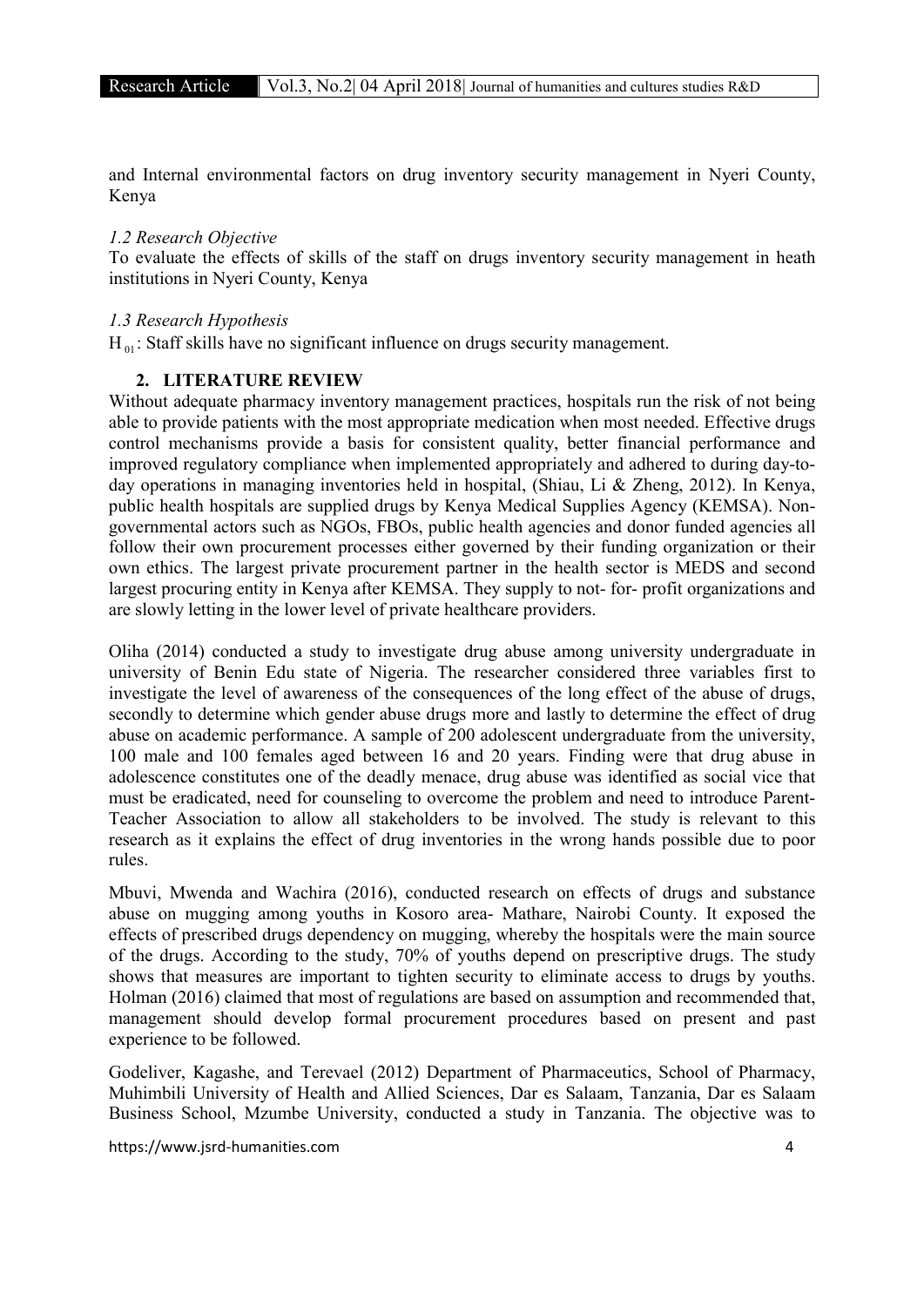and Internal environmental factors on drug inventory security management in Nyeri County, Kenya

#### *1.2 Research Objective*

To evaluate the effects of skills of the staff on drugs inventory security management in heath institutions in Nyeri County, Kenya

#### *1.3 Research Hypothesis*

H<sub>01</sub>: Staff skills have no significant influence on drugs security management.

# 2. LITERATURE REVIEW

Without adequate pharmacy inventory management practices, hospitals run the risk of not being able to provide patients with the most appropriate medication when most needed. Effective drugs control mechanisms provide a basis for consistent quality, better financial performance and improved regulatory compliance when implemented appropriately and adhered to during day-today operations in managing inventories held in hospital, (Shiau, Li & Zheng, 2012). In Kenya, public health hospitals are supplied drugs by Kenya Medical Supplies Agency (KEMSA). Nongovernmental actors such as NGOs, FBOs, public health agencies and donor funded agencies all follow their own procurement processes either governed by their funding organization or their own ethics. The largest private procurement partner in the health sector is MEDS and second largest procuring entity in Kenya after KEMSA. They supply to not- for- profit organizations and are slowly letting in the lower level of private healthcare providers.

Oliha (2014) conducted a study to investigate drug abuse among university undergraduate in university of Benin Edu state of Nigeria. The researcher considered three variables first to investigate the level of awareness of the consequences of the long effect of the abuse of drugs, secondly to determine which gender abuse drugs more and lastly to determine the effect of drug abuse on academic performance. A sample of 200 adolescent undergraduate from the university, 100 male and 100 females aged between 16 and 20 years. Finding were that drug abuse in adolescence constitutes one of the deadly menace, drug abuse was identified as social vice that must be eradicated, need for counseling to overcome the problem and need to introduce Parent-Teacher Association to allow all stakeholders to be involved. The study is relevant to this research as it explains the effect of drug inventories in the wrong hands possible due to poor rules.

Mbuvi, Mwenda and Wachira (2016), conducted research on effects of drugs and substance abuse on mugging among youths in Kosoro area- Mathare, Nairobi County. It exposed the effects of prescribed drugs dependency on mugging, whereby the hospitals were the main source of the drugs. According to the study, 70% of youths depend on prescriptive drugs. The study shows that measures are important to tighten security to eliminate access to drugs by youths. Holman (2016) claimed that most of regulations are based on assumption and recommended that, management should develop formal procurement procedures based on present and past experience to be followed.

Godeliver, Kagashe, and Terevael (2012) Department of Pharmaceutics, School of Pharmacy, Muhimbili University of Health and Allied Sciences, Dar es Salaam, Tanzania, Dar es Salaam Business School, Mzumbe University, conducted a study in Tanzania. The objective was to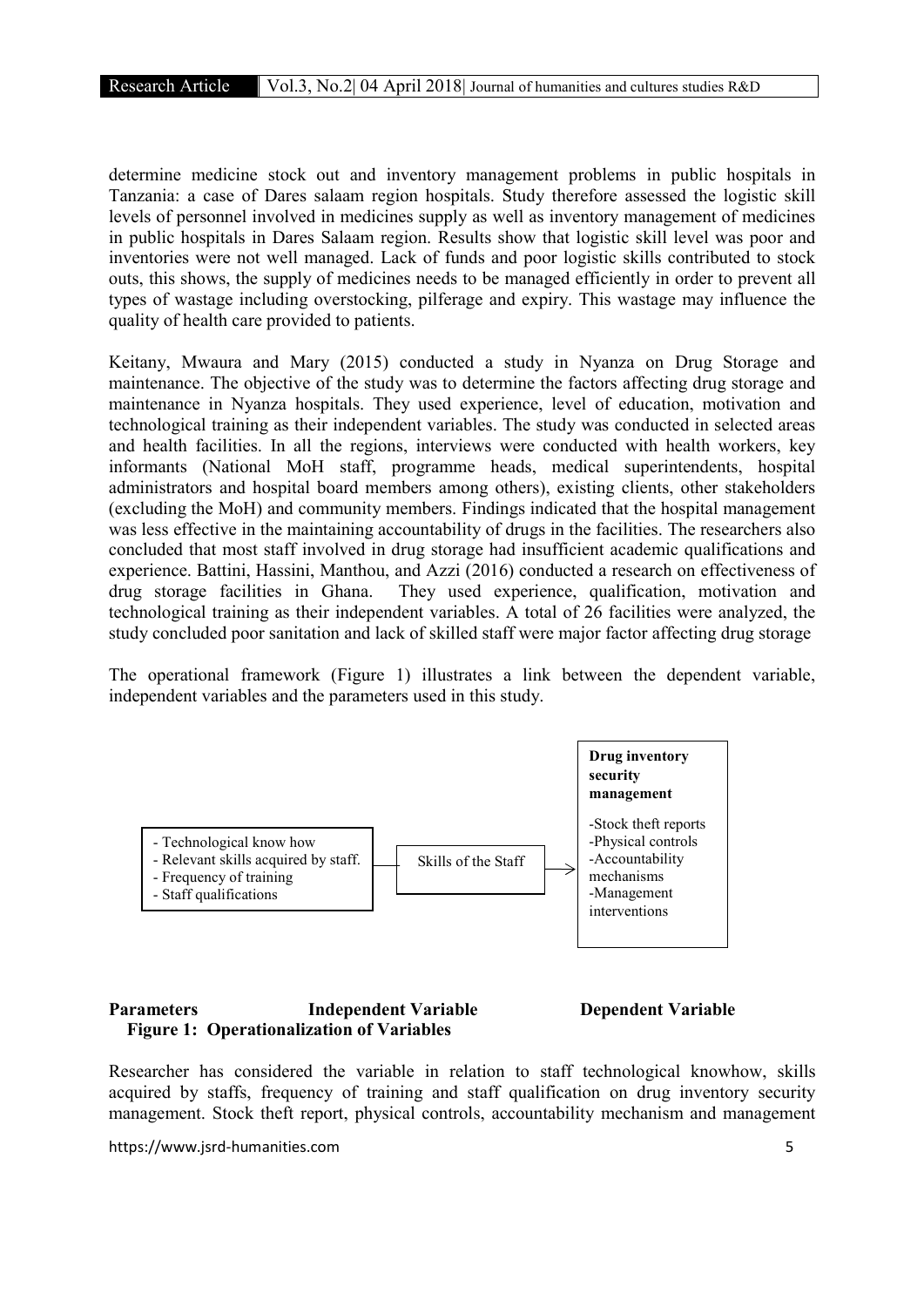determine medicine stock out and inventory management problems in public hospitals in Tanzania: a case of Dares salaam region hospitals. Study therefore assessed the logistic skill levels of personnel involved in medicines supply as well as inventory management of medicines in public hospitals in Dares Salaam region. Results show that logistic skill level was poor and inventories were not well managed. Lack of funds and poor logistic skills contributed to stock outs, this shows, the supply of medicines needs to be managed efficiently in order to prevent all types of wastage including overstocking, pilferage and expiry. This wastage may influence the quality of health care provided to patients.

Keitany, Mwaura and Mary (2015) conducted a study in Nyanza on Drug Storage and maintenance. The objective of the study was to determine the factors affecting drug storage and maintenance in Nyanza hospitals. They used experience, level of education, motivation and technological training as their independent variables. The study was conducted in selected areas and health facilities. In all the regions, interviews were conducted with health workers, key informants (National MoH staff, programme heads, medical superintendents, hospital administrators and hospital board members among others), existing clients, other stakeholders (excluding the MoH) and community members. Findings indicated that the hospital management was less effective in the maintaining accountability of drugs in the facilities. The researchers also concluded that most staff involved in drug storage had insufficient academic qualifications and experience. Battini, Hassini, Manthou, and Azzi (2016) conducted a research on effectiveness of drug storage facilities in Ghana. They used experience, qualification, motivation and technological training as their independent variables. A total of 26 facilities were analyzed, the study concluded poor sanitation and lack of skilled staff were major factor affecting drug storage

The operational framework (Figure 1) illustrates a link between the dependent variable, independent variables and the parameters used in this study.



# Parameters Independent Variable Dependent Variable Figure 1: Operationalization of Variables

Researcher has considered the variable in relation to staff technological knowhow, skills acquired by staffs, frequency of training and staff qualification on drug inventory security management. Stock theft report, physical controls, accountability mechanism and management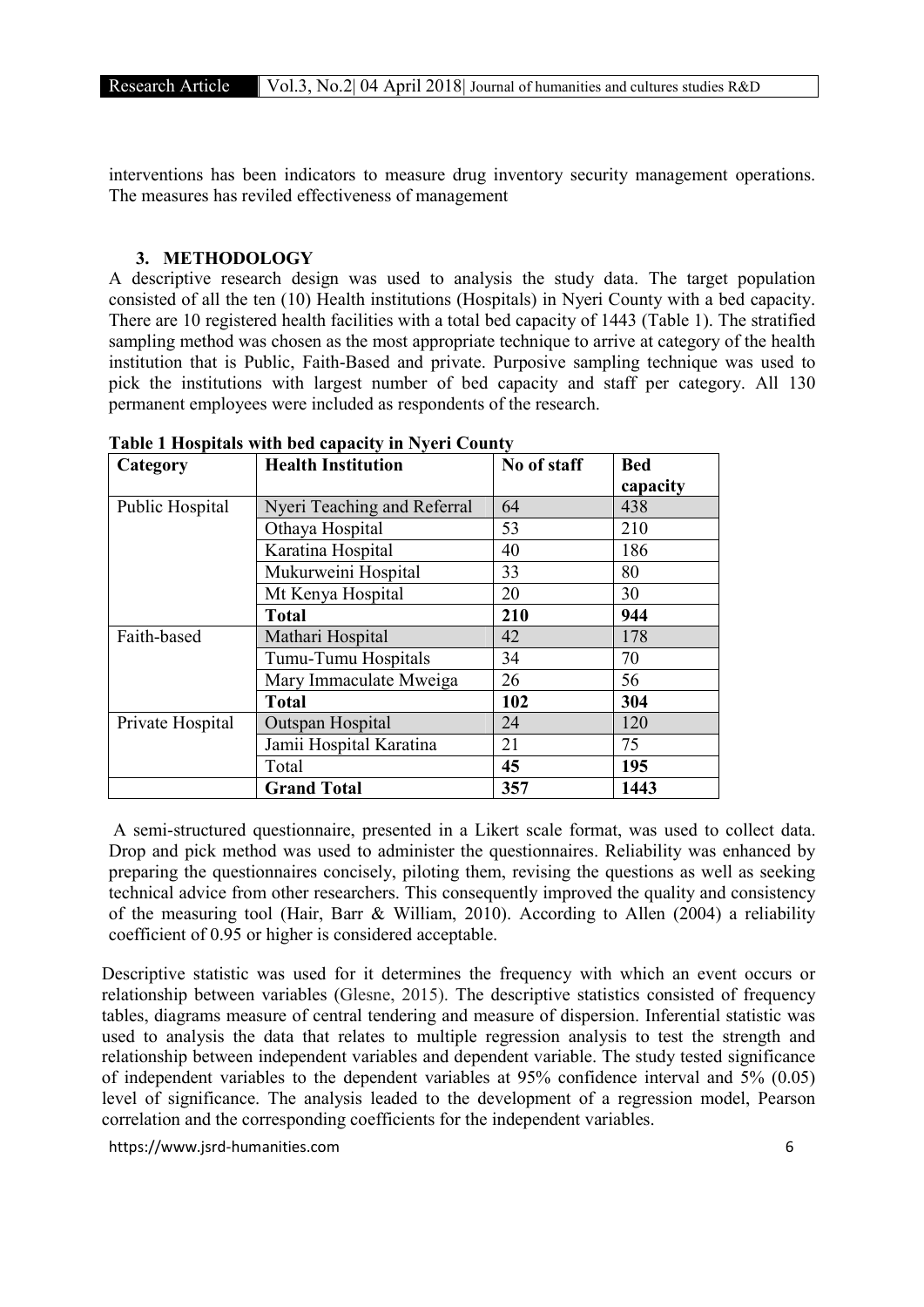interventions has been indicators to measure drug inventory security management operations. The measures has reviled effectiveness of management

#### 3. METHODOLOGY

A descriptive research design was used to analysis the study data. The target population consisted of all the ten (10) Health institutions (Hospitals) in Nyeri County with a bed capacity. There are 10 registered health facilities with a total bed capacity of 1443 (Table 1). The stratified sampling method was chosen as the most appropriate technique to arrive at category of the health institution that is Public, Faith-Based and private. Purposive sampling technique was used to pick the institutions with largest number of bed capacity and staff per category. All 130 permanent employees were included as respondents of the research.

| Category         | <b>Health Institution</b>   | No of staff | <b>Bed</b><br>capacity |
|------------------|-----------------------------|-------------|------------------------|
| Public Hospital  | Nyeri Teaching and Referral | 64          | 438                    |
|                  | Othaya Hospital             | 53          | 210                    |
|                  | Karatina Hospital           | 40          | 186                    |
|                  | Mukurweini Hospital         | 33          | 80                     |
|                  | Mt Kenya Hospital           | 20          | 30                     |
|                  | <b>Total</b>                | 210         | 944                    |
| Faith-based      | Mathari Hospital            | 42          | 178                    |
|                  | Tumu-Tumu Hospitals         | 34          | 70                     |
|                  | Mary Immaculate Mweiga      | 26          | 56                     |
|                  | <b>Total</b>                | 102         | 304                    |
| Private Hospital | Outspan Hospital            | 24          | 120                    |
|                  | Jamii Hospital Karatina     | 21          | 75                     |
|                  | Total                       | 45          | 195                    |
|                  | <b>Grand Total</b>          | 357         | 1443                   |

Table 1 Hospitals with bed capacity in Nyeri County

A semi-structured questionnaire, presented in a Likert scale format, was used to collect data. Drop and pick method was used to administer the questionnaires. Reliability was enhanced by preparing the questionnaires concisely, piloting them, revising the questions as well as seeking technical advice from other researchers. This consequently improved the quality and consistency of the measuring tool (Hair, Barr & William, 2010). According to Allen (2004) a reliability coefficient of 0.95 or higher is considered acceptable.

Descriptive statistic was used for it determines the frequency with which an event occurs or relationship between variables (Glesne, 2015). The descriptive statistics consisted of frequency tables, diagrams measure of central tendering and measure of dispersion. Inferential statistic was used to analysis the data that relates to multiple regression analysis to test the strength and relationship between independent variables and dependent variable. The study tested significance of independent variables to the dependent variables at 95% confidence interval and 5% (0.05) level of significance. The analysis leaded to the development of a regression model, Pearson correlation and the corresponding coefficients for the independent variables.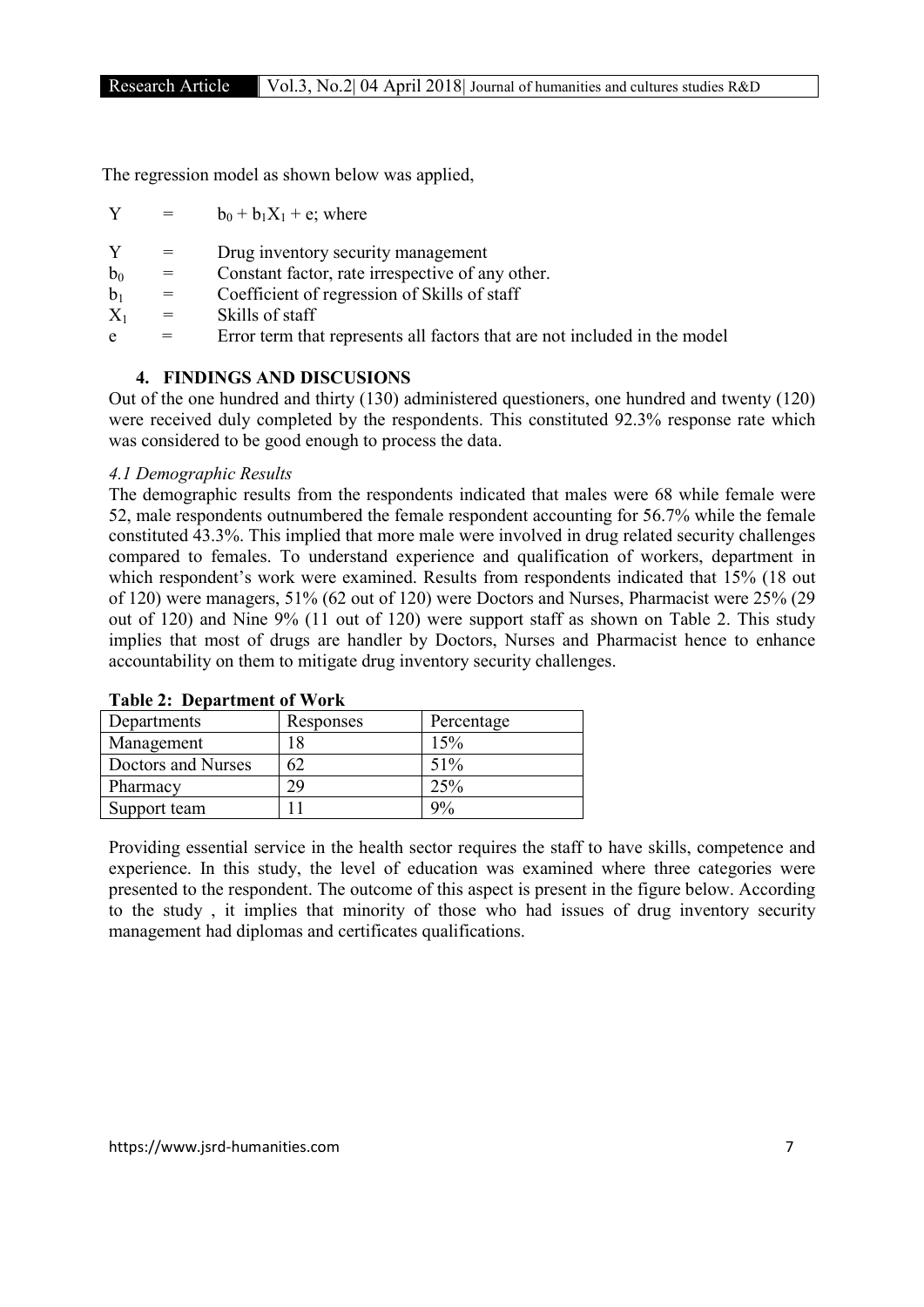The regression model as shown below was applied,

 $Y = b_0 + b_1X_1 + e$ ; where

Y = Drug inventory security management

- $b_0$  = Constant factor, rate irrespective of any other.
- $b_1$  = Coefficient of regression of Skills of staff
- $X_1$  = Skills of staff
- e = Error term that represents all factors that are not included in the model

# 4. FINDINGS AND DISCUSIONS

Out of the one hundred and thirty (130) administered questioners, one hundred and twenty (120) were received duly completed by the respondents. This constituted 92.3% response rate which was considered to be good enough to process the data.

## *4.1 Demographic Results*

The demographic results from the respondents indicated that males were 68 while female were 52, male respondents outnumbered the female respondent accounting for 56.7% while the female constituted 43.3%. This implied that more male were involved in drug related security challenges compared to females. To understand experience and qualification of workers, department in which respondent's work were examined. Results from respondents indicated that 15% (18 out of 120) were managers, 51% (62 out of 120) were Doctors and Nurses, Pharmacist were 25% (29 out of 120) and Nine 9% (11 out of 120) were support staff as shown on Table 2. This study implies that most of drugs are handler by Doctors, Nurses and Pharmacist hence to enhance accountability on them to mitigate drug inventory security challenges.

| Departments        | Responses | Percentage |
|--------------------|-----------|------------|
| Management         | l 8       | 15%        |
| Doctors and Nurses | 62        | 51%        |
| Pharmacy           | 29        | 25%        |
| Support team       |           | 9%         |

## Table 2: Department of Work

Providing essential service in the health sector requires the staff to have skills, competence and experience. In this study, the level of education was examined where three categories were presented to the respondent. The outcome of this aspect is present in the figure below. According to the study , it implies that minority of those who had issues of drug inventory security management had diplomas and certificates qualifications.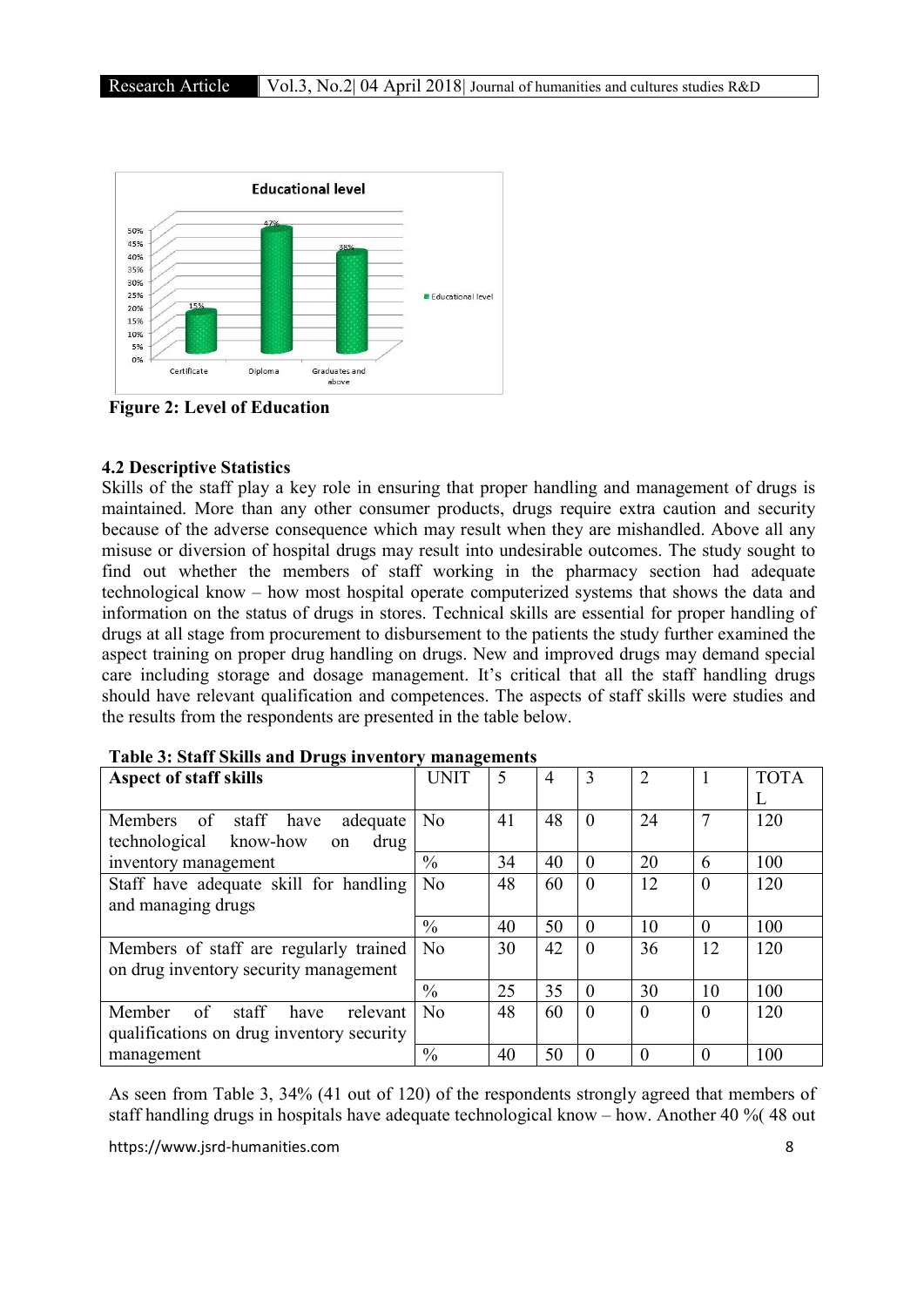

Figure 2: Level of Education

# 4.2 Descriptive Statistics

Skills of the staff play a key role in ensuring that proper handling and management of drugs is maintained. More than any other consumer products, drugs require extra caution and security because of the adverse consequence which may result when they are mishandled. Above all any misuse or diversion of hospital drugs may result into undesirable outcomes. The study sought to find out whether the members of staff working in the pharmacy section had adequate technological know – how most hospital operate computerized systems that shows the data and information on the status of drugs in stores. Technical skills are essential for proper handling of drugs at all stage from procurement to disbursement to the patients the study further examined the aspect training on proper drug handling on drugs. New and improved drugs may demand special care including storage and dosage management. It's critical that all the staff handling drugs should have relevant qualification and competences. The aspects of staff skills were studies and the results from the respondents are presented in the table below.

| <b>Aspect of staff skills</b>             | <b>UNIT</b>    | 5  | 4  | 3        | $\overline{2}$ |          | <b>TOTA</b> |
|-------------------------------------------|----------------|----|----|----------|----------------|----------|-------------|
|                                           |                |    |    |          |                |          |             |
| of staff have<br>Members<br>adequate      | N <sub>0</sub> | 41 | 48 | $\theta$ | 24             | 7        | 120         |
| technological<br>know-how<br>drug<br>on   |                |    |    |          |                |          |             |
| inventory management                      | $\frac{0}{0}$  | 34 | 40 | $\theta$ | 20             | 6        | 100         |
| Staff have adequate skill for handling    | N <sub>0</sub> | 48 | 60 | $\theta$ | 12             | $\Omega$ | 120         |
| and managing drugs                        |                |    |    |          |                |          |             |
|                                           | $\frac{0}{0}$  | 40 | 50 | $\theta$ | 10             | $\Omega$ | 100         |
| Members of staff are regularly trained    | No             | 30 | 42 | $\theta$ | 36             | 12       | 120         |
| on drug inventory security management     |                |    |    |          |                |          |             |
|                                           | $\%$           | 25 | 35 | $\Omega$ | 30             | 10       | 100         |
| of<br>staff<br>Member<br>relevant<br>have | No             | 48 | 60 | $\theta$ | $\theta$       | $\Omega$ | 120         |
| qualifications on drug inventory security |                |    |    |          |                |          |             |
| management                                | $\frac{0}{0}$  | 40 | 50 | $\Omega$ | $\Omega$       | $\theta$ | 100         |

As seen from Table 3, 34% (41 out of 120) of the respondents strongly agreed that members of staff handling drugs in hospitals have adequate technological know – how. Another 40 %( 48 out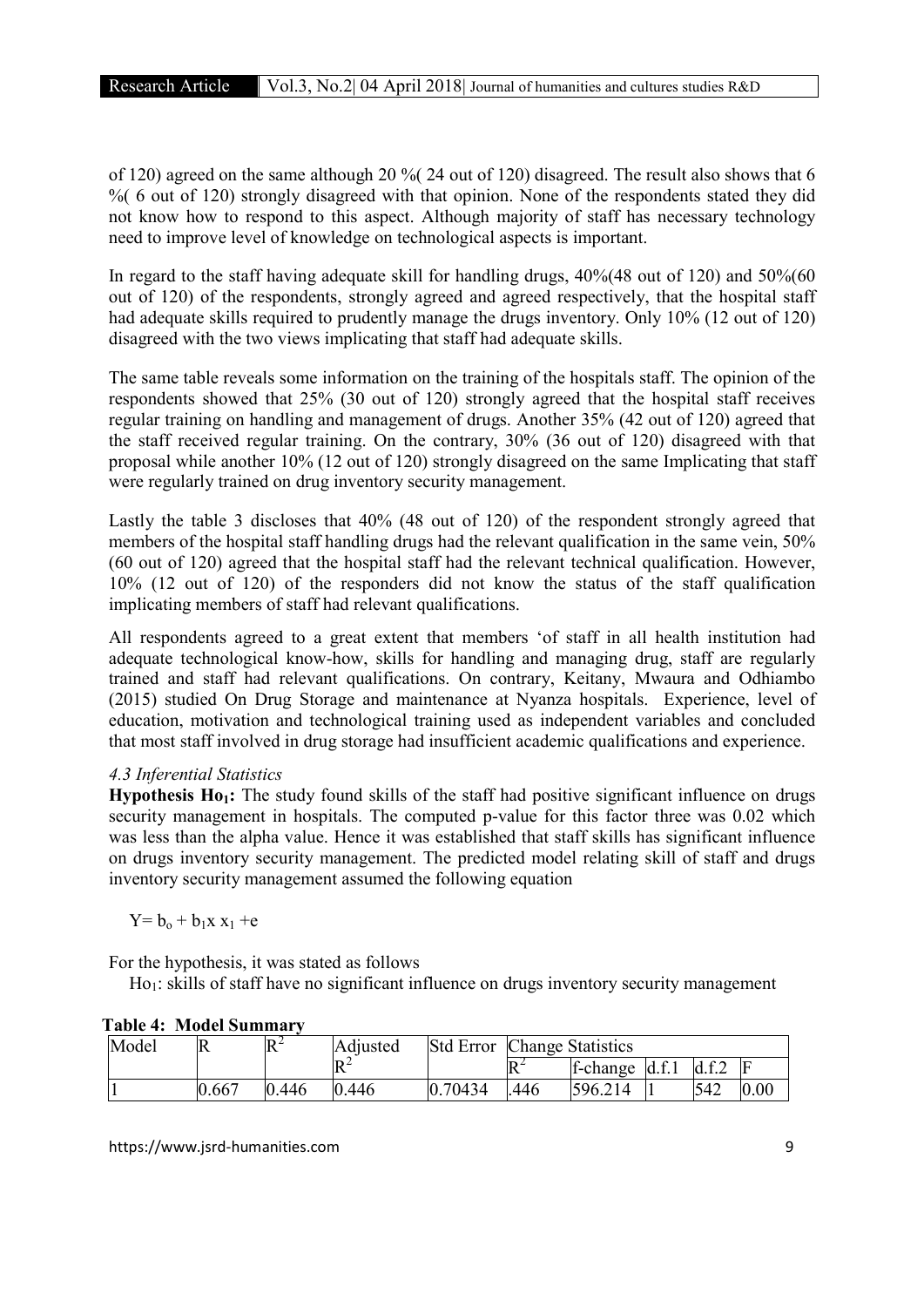of 120) agreed on the same although 20 %( 24 out of 120) disagreed. The result also shows that 6 % 6 out of 120) strongly disagreed with that opinion. None of the respondents stated they did not know how to respond to this aspect. Although majority of staff has necessary technology need to improve level of knowledge on technological aspects is important.

In regard to the staff having adequate skill for handling drugs,  $40\frac{1}{6}$  and  $50\frac{1}{6}$  and  $50\frac{1}{6}$ out of 120) of the respondents, strongly agreed and agreed respectively, that the hospital staff had adequate skills required to prudently manage the drugs inventory. Only 10% (12 out of 120) disagreed with the two views implicating that staff had adequate skills.

The same table reveals some information on the training of the hospitals staff. The opinion of the respondents showed that 25% (30 out of 120) strongly agreed that the hospital staff receives regular training on handling and management of drugs. Another 35% (42 out of 120) agreed that the staff received regular training. On the contrary, 30% (36 out of 120) disagreed with that proposal while another 10% (12 out of 120) strongly disagreed on the same Implicating that staff were regularly trained on drug inventory security management.

Lastly the table 3 discloses that 40% (48 out of 120) of the respondent strongly agreed that members of the hospital staff handling drugs had the relevant qualification in the same vein, 50% (60 out of 120) agreed that the hospital staff had the relevant technical qualification. However, 10% (12 out of 120) of the responders did not know the status of the staff qualification implicating members of staff had relevant qualifications.

All respondents agreed to a great extent that members 'of staff in all health institution had adequate technological know-how, skills for handling and managing drug, staff are regularly trained and staff had relevant qualifications. On contrary, Keitany, Mwaura and Odhiambo (2015) studied On Drug Storage and maintenance at Nyanza hospitals. Experience, level of education, motivation and technological training used as independent variables and concluded that most staff involved in drug storage had insufficient academic qualifications and experience.

# *4.3 Inferential Statistics*

**Hypothesis H<sub>01</sub>:** The study found skills of the staff had positive significant influence on drugs security management in hospitals. The computed p-value for this factor three was 0.02 which was less than the alpha value. Hence it was established that staff skills has significant influence on drugs inventory security management. The predicted model relating skill of staff and drugs inventory security management assumed the following equation

 $Y = b_0 + b_1x x_1 + e$ 

For the hypothesis, it was stated as follows

Ho1: skills of staff have no significant influence on drugs inventory security management

| Model |       | $R^2$ | Adjusted         | <b>Std Error</b> | <b>Change Statistics</b> |                   |  |       |      |
|-------|-------|-------|------------------|------------------|--------------------------|-------------------|--|-------|------|
|       |       |       | $R^2$            |                  | ط⊓<br>IN                 | $f$ -change d.f.1 |  | d.f.2 | F    |
|       | 0.667 | 0.446 | .446<br>$\bf{0}$ | 0.70434          | .446                     | 596.214           |  | 542   | 0.00 |

# Table 4: Model Summary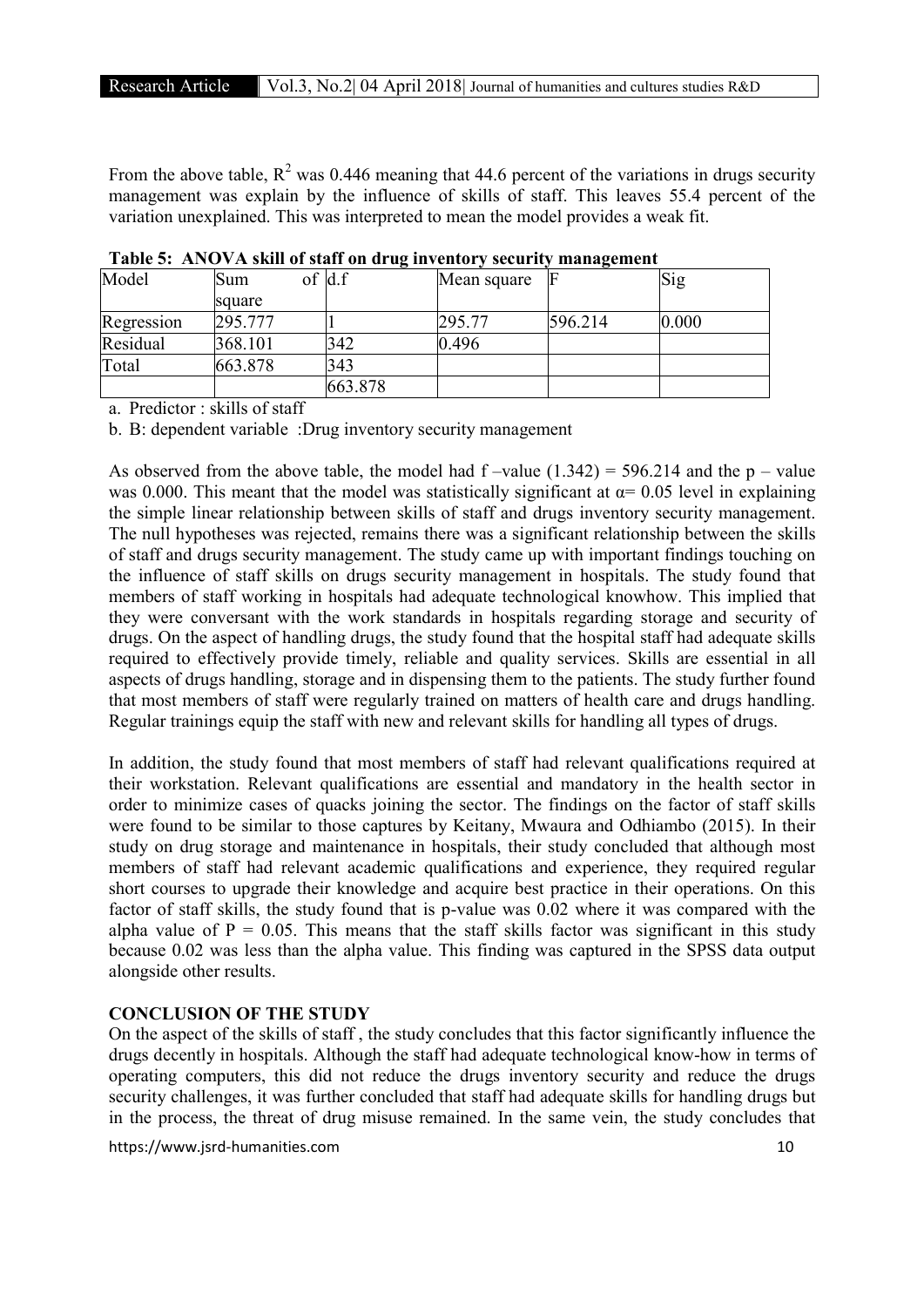From the above table,  $R^2$  was 0.446 meaning that 44.6 percent of the variations in drugs security management was explain by the influence of skills of staff. This leaves 55.4 percent of the variation unexplained. This was interpreted to mean the model provides a weak fit.

| Model      | Sum     | of $d.f$ | Mean square |         | Sig   |
|------------|---------|----------|-------------|---------|-------|
|            | square  |          |             |         |       |
| Regression | 295.777 |          | 295.77      | 596.214 | 0.000 |
| Residual   | 368.101 | 342      | 0.496       |         |       |
| Total      | 663.878 | 343      |             |         |       |
|            |         | 663.878  |             |         |       |

Table 5: ANOVA skill of staff on drug inventory security management

a. Predictor : skills of staff

b. B: dependent variable :Drug inventory security management

As observed from the above table, the model had  $f$ -value (1.342) = 596.214 and the p – value was 0.000. This meant that the model was statistically significant at  $\alpha$ = 0.05 level in explaining the simple linear relationship between skills of staff and drugs inventory security management. The null hypotheses was rejected, remains there was a significant relationship between the skills of staff and drugs security management. The study came up with important findings touching on the influence of staff skills on drugs security management in hospitals. The study found that members of staff working in hospitals had adequate technological knowhow. This implied that they were conversant with the work standards in hospitals regarding storage and security of drugs. On the aspect of handling drugs, the study found that the hospital staff had adequate skills required to effectively provide timely, reliable and quality services. Skills are essential in all aspects of drugs handling, storage and in dispensing them to the patients. The study further found that most members of staff were regularly trained on matters of health care and drugs handling. Regular trainings equip the staff with new and relevant skills for handling all types of drugs.

In addition, the study found that most members of staff had relevant qualifications required at their workstation. Relevant qualifications are essential and mandatory in the health sector in order to minimize cases of quacks joining the sector. The findings on the factor of staff skills were found to be similar to those captures by Keitany, Mwaura and Odhiambo (2015). In their study on drug storage and maintenance in hospitals, their study concluded that although most members of staff had relevant academic qualifications and experience, they required regular short courses to upgrade their knowledge and acquire best practice in their operations. On this factor of staff skills, the study found that is p-value was 0.02 where it was compared with the alpha value of  $P = 0.05$ . This means that the staff skills factor was significant in this study because 0.02 was less than the alpha value. This finding was captured in the SPSS data output alongside other results.

# CONCLUSION OF THE STUDY

On the aspect of the skills of staff , the study concludes that this factor significantly influence the drugs decently in hospitals. Although the staff had adequate technological know-how in terms of operating computers, this did not reduce the drugs inventory security and reduce the drugs security challenges, it was further concluded that staff had adequate skills for handling drugs but in the process, the threat of drug misuse remained. In the same vein, the study concludes that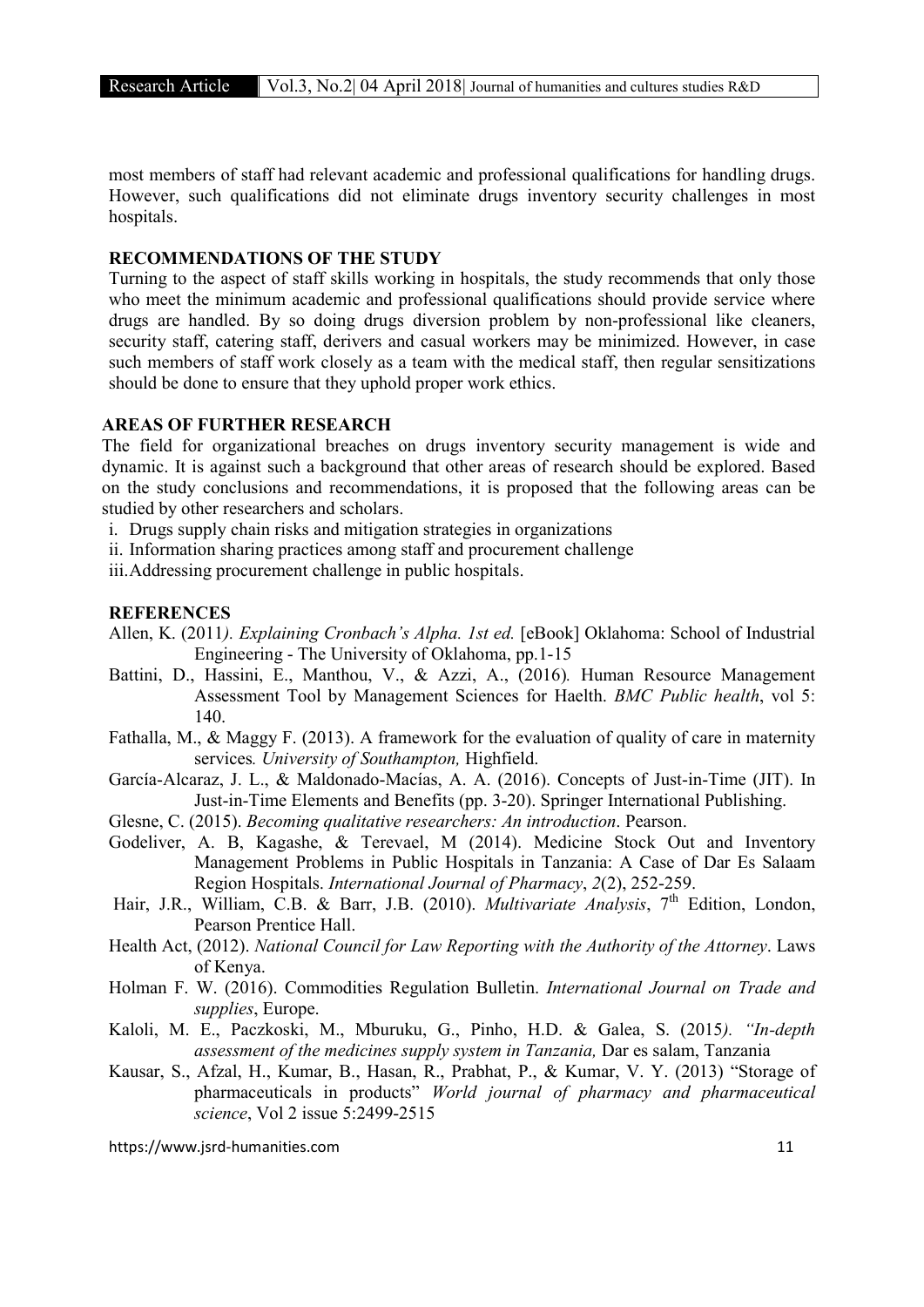most members of staff had relevant academic and professional qualifications for handling drugs. However, such qualifications did not eliminate drugs inventory security challenges in most hospitals.

#### RECOMMENDATIONS OF THE STUDY

Turning to the aspect of staff skills working in hospitals, the study recommends that only those who meet the minimum academic and professional qualifications should provide service where drugs are handled. By so doing drugs diversion problem by non-professional like cleaners, security staff, catering staff, derivers and casual workers may be minimized. However, in case such members of staff work closely as a team with the medical staff, then regular sensitizations should be done to ensure that they uphold proper work ethics.

# AREAS OF FURTHER RESEARCH

The field for organizational breaches on drugs inventory security management is wide and dynamic. It is against such a background that other areas of research should be explored. Based on the study conclusions and recommendations, it is proposed that the following areas can be studied by other researchers and scholars.

i. Drugs supply chain risks and mitigation strategies in organizations

ii. Information sharing practices among staff and procurement challenge

iii.Addressing procurement challenge in public hospitals.

# **REFERENCES**

- Allen, K. (2011*). Explaining Cronbach's Alpha. 1st ed.* [eBook] Oklahoma: School of Industrial Engineering - The University of Oklahoma, pp.1-15
- Battini, D., Hassini, E., Manthou, V., & Azzi, A., (2016)*.* Human Resource Management Assessment Tool by Management Sciences for Haelth. *BMC Public health*, vol 5: 140.
- Fathalla, M., & Maggy F. (2013). A framework for the evaluation of quality of care in maternity services*. University of Southampton,* Highfield.
- García-Alcaraz, J. L., & Maldonado-Macías, A. A. (2016). Concepts of Just-in-Time (JIT). In Just-in-Time Elements and Benefits (pp. 3-20). Springer International Publishing.
- Glesne, C. (2015). *Becoming qualitative researchers: An introduction*. Pearson.
- Godeliver, A. B, Kagashe, & Terevael, M (2014). Medicine Stock Out and Inventory Management Problems in Public Hospitals in Tanzania: A Case of Dar Es Salaam Region Hospitals. *International Journal of Pharmacy*, *2*(2), 252-259.
- Hair, J.R., William, C.B. & Barr, J.B. (2010). *Multivariate Analysis*, 7<sup>th</sup> Edition, London, Pearson Prentice Hall.
- Health Act, (2012). *National Council for Law Reporting with the Authority of the Attorney*. Laws of Kenya.
- Holman F. W. (2016). Commodities Regulation Bulletin. *International Journal on Trade and supplies*, Europe.
- Kaloli, M. E., Paczkoski, M., Mburuku, G., Pinho, H.D. & Galea, S. (2015*). "In-depth assessment of the medicines supply system in Tanzania,* Dar es salam, Tanzania
- Kausar, S., Afzal, H., Kumar, B., Hasan, R., Prabhat, P., & Kumar, V. Y. (2013) "Storage of pharmaceuticals in products" *World journal of pharmacy and pharmaceutical science*, Vol 2 issue 5:2499-2515